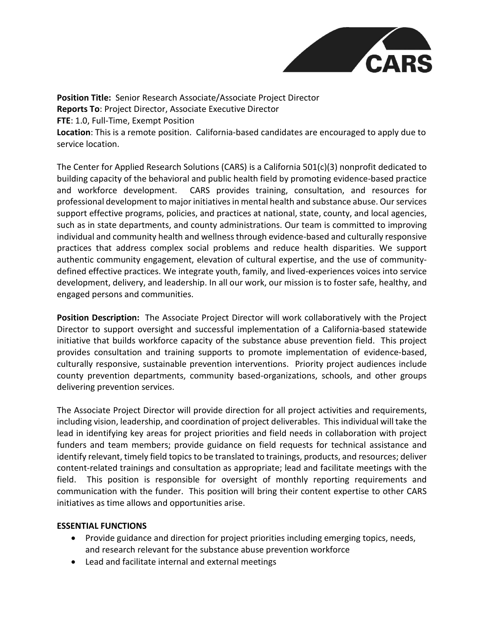

**Position Title:** Senior Research Associate/Associate Project Director **Reports To**: Project Director, Associate Executive Director **FTE**: 1.0, Full-Time, Exempt Position **Location**: This is a remote position. California-based candidates are encouraged to apply due to service location.

The Center for Applied Research Solutions (CARS) is a California 501(c)(3) nonprofit dedicated to building capacity of the behavioral and public health field by promoting evidence-based practice and workforce development. CARS provides training, consultation, and resources for professional development to major initiatives in mental health and substance abuse. Our services support effective programs, policies, and practices at national, state, county, and local agencies, such as in state departments, and county administrations. Our team is committed to improving individual and community health and wellness through evidence-based and culturally responsive practices that address complex social problems and reduce health disparities. We support authentic community engagement, elevation of cultural expertise, and the use of communitydefined effective practices. We integrate youth, family, and lived-experiences voices into service development, delivery, and leadership. In all our work, our mission is to foster safe, healthy, and engaged persons and communities.

**Position Description:** The Associate Project Director will work collaboratively with the Project Director to support oversight and successful implementation of a California-based statewide initiative that builds workforce capacity of the substance abuse prevention field. This project provides consultation and training supports to promote implementation of evidence-based, culturally responsive, sustainable prevention interventions. Priority project audiences include county prevention departments, community based-organizations, schools, and other groups delivering prevention services.

The Associate Project Director will provide direction for all project activities and requirements, including vision, leadership, and coordination of project deliverables. This individual will take the lead in identifying key areas for project priorities and field needs in collaboration with project funders and team members; provide guidance on field requests for technical assistance and identify relevant, timely field topics to be translated to trainings, products, and resources; deliver content-related trainings and consultation as appropriate; lead and facilitate meetings with the field. This position is responsible for oversight of monthly reporting requirements and communication with the funder. This position will bring their content expertise to other CARS initiatives as time allows and opportunities arise.

## **ESSENTIAL FUNCTIONS**

- Provide guidance and direction for project priorities including emerging topics, needs, and research relevant for the substance abuse prevention workforce
- Lead and facilitate internal and external meetings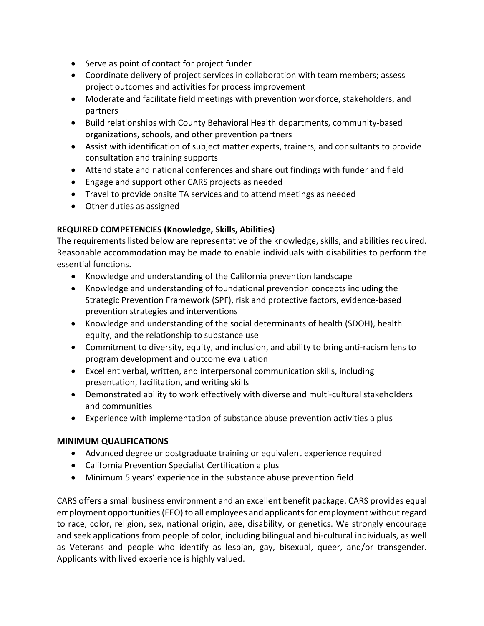- Serve as point of contact for project funder
- Coordinate delivery of project services in collaboration with team members; assess project outcomes and activities for process improvement
- Moderate and facilitate field meetings with prevention workforce, stakeholders, and partners
- Build relationships with County Behavioral Health departments, community-based organizations, schools, and other prevention partners
- Assist with identification of subject matter experts, trainers, and consultants to provide consultation and training supports
- Attend state and national conferences and share out findings with funder and field
- Engage and support other CARS projects as needed
- Travel to provide onsite TA services and to attend meetings as needed
- Other duties as assigned

## **REQUIRED COMPETENCIES (Knowledge, Skills, Abilities)**

The requirements listed below are representative of the knowledge, skills, and abilities required. Reasonable accommodation may be made to enable individuals with disabilities to perform the essential functions.

- Knowledge and understanding of the California prevention landscape
- Knowledge and understanding of foundational prevention concepts including the Strategic Prevention Framework (SPF), risk and protective factors, evidence-based prevention strategies and interventions
- Knowledge and understanding of the social determinants of health (SDOH), health equity, and the relationship to substance use
- Commitment to diversity, equity, and inclusion, and ability to bring anti-racism lens to program development and outcome evaluation
- Excellent verbal, written, and interpersonal communication skills, including presentation, facilitation, and writing skills
- Demonstrated ability to work effectively with diverse and multi-cultural stakeholders and communities
- Experience with implementation of substance abuse prevention activities a plus

## **MINIMUM QUALIFICATIONS**

- Advanced degree or postgraduate training or equivalent experience required
- California Prevention Specialist Certification a plus
- Minimum 5 years' experience in the substance abuse prevention field

CARS offers a small business environment and an excellent benefit package. CARS provides equal employment opportunities (EEO) to all employees and applicants for employment without regard to race, color, religion, sex, national origin, age, disability, or genetics. We strongly encourage and seek applications from people of color, including bilingual and bi-cultural individuals, as well as Veterans and people who identify as lesbian, gay, bisexual, queer, and/or transgender. Applicants with lived experience is highly valued.